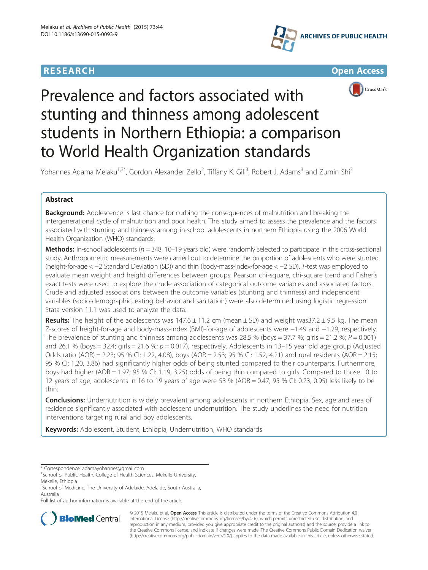





# Prevalence and factors associated with stunting and thinness among adolescent students in Northern Ethiopia: a comparison to World Health Organization standards

Yohannes Adama Melaku<sup>1,3\*</sup>, Gordon Alexander Zello<sup>2</sup>, Tiffany K. Gill<sup>3</sup>, Robert J. Adams<sup>3</sup> and Zumin Shi<sup>3</sup>

### Abstract

**Background:** Adolescence is last chance for curbing the consequences of malnutrition and breaking the intergenerational cycle of malnutrition and poor health. This study aimed to assess the prevalence and the factors associated with stunting and thinness among in-school adolescents in northern Ethiopia using the 2006 World Health Organization (WHO) standards.

**Methods:** In-school adolescents ( $n = 348$ , 10–19 years old) were randomly selected to participate in this cross-sectional study. Anthropometric measurements were carried out to determine the proportion of adolescents who were stunted (height-for-age < −2 Standard Deviation (SD)) and thin (body-mass-index-for-age < −2 SD). T-test was employed to evaluate mean weight and height differences between groups. Pearson chi-square, chi-square trend and Fisher's exact tests were used to explore the crude association of categorical outcome variables and associated factors. Crude and adjusted associations between the outcome variables (stunting and thinness) and independent variables (socio-demographic, eating behavior and sanitation) were also determined using logistic regression. Stata version 11.1 was used to analyze the data.

**Results:** The height of the adolescents was  $147.6 \pm 11.2$  cm (mean  $\pm$  SD) and weight was37.2  $\pm$  9.5 kg. The mean Z-scores of height-for-age and body-mass-index (BMI)-for-age of adolescents were −1.49 and −1.29, respectively. The prevalence of stunting and thinness among adolescents was 28.5 % (boys = 37.7 %; girls = 21.2 %;  $P = 0.001$ ) and 26.1 % (boys = 32.4; girls = 21.6 %;  $p = 0.017$ ), respectively. Adolescents in 13–15 year old age group (Adjusted Odds ratio (AOR) = 2.23; 95 % CI: 1.22, 4.08), boys (AOR = 2.53; 95 % CI: 1.52, 4.21) and rural residents (AOR = 2.15; 95 % CI: 1.20, 3.86) had significantly higher odds of being stunted compared to their counterparts. Furthermore, boys had higher (AOR = 1.97; 95 % CI: 1.19, 3.25) odds of being thin compared to girls. Compared to those 10 to 12 years of age, adolescents in 16 to 19 years of age were 53 % (AOR = 0.47; 95 % CI: 0.23, 0.95) less likely to be thin.

**Conclusions:** Undernutrition is widely prevalent among adolescents in northern Ethiopia. Sex, age and area of residence significantly associated with adolescent undernutrition. The study underlines the need for nutrition interventions targeting rural and boy adolescents.

Keywords: Adolescent, Student, Ethiopia, Undernutrition, WHO standards

Full list of author information is available at the end of the article



© 2015 Melaku et al. Open Access This article is distributed under the terms of the Creative Commons Attribution 4.0 International License [\(http://creativecommons.org/licenses/by/4.0/](http://creativecommons.org/licenses/by/4.0/)), which permits unrestricted use, distribution, and reproduction in any medium, provided you give appropriate credit to the original author(s) and the source, provide a link to the Creative Commons license, and indicate if changes were made. The Creative Commons Public Domain Dedication waiver [\(http://creativecommons.org/publicdomain/zero/1.0/](http://creativecommons.org/publicdomain/zero/1.0/)) applies to the data made available in this article, unless otherwise stated.

<sup>\*</sup> Correspondence: [adamayohannes@gmail.com](mailto:adamayohannes@gmail.com) <sup>1</sup>

<sup>&</sup>lt;sup>1</sup> School of Public Health, College of Health Sciences, Mekelle University, Mekelle, Ethiopia

<sup>&</sup>lt;sup>3</sup>School of Medicine, The University of Adelaide, Adelaide, South Australia, Australia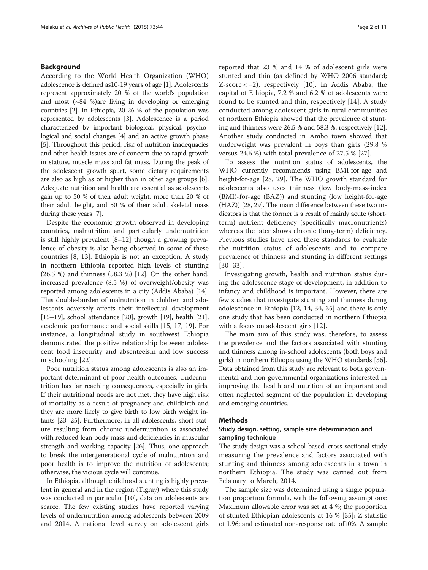#### Background

According to the World Health Organization (WHO) adolescence is defined as10-19 years of age [\[1](#page-9-0)]. Adolescents represent approximately 20 % of the world's population and most  $({\sim}84 \%)$ are living in developing or emerging countries [\[2\]](#page-9-0). In Ethiopia, 20-26 % of the population was represented by adolescents [\[3](#page-9-0)]. Adolescence is a period characterized by important biological, physical, psychological and social changes [\[4](#page-9-0)] and an active growth phase [[5](#page-9-0)]. Throughout this period, risk of nutrition inadequacies and other health issues are of concern due to rapid growth in stature, muscle mass and fat mass. During the peak of the adolescent growth spurt, some dietary requirements are also as high as or higher than in other age groups [[6](#page-9-0)]. Adequate nutrition and health are essential as adolescents gain up to 50 % of their adult weight, more than 20 % of their adult height, and 50 % of their adult skeletal mass during these years [[7\]](#page-9-0).

Despite the economic growth observed in developing countries, malnutrition and particularly undernutrition is still highly prevalent [\[8](#page-9-0)–[12\]](#page-9-0) though a growing prevalence of obesity is also being observed in some of these countries [[8, 13\]](#page-9-0). Ethiopia is not an exception. A study in northern Ethiopia reported high levels of stunting (26.5 %) and thinness (58.3 %) [[12\]](#page-9-0). On the other hand, increased prevalence (8.5 %) of overweight/obesity was reported among adolescents in a city (Addis Ababa) [[14](#page-9-0)]. This double-burden of malnutrition in children and adolescents adversely affects their intellectual development [[15](#page-9-0)–[19\]](#page-9-0), school attendance [[20\]](#page-9-0), growth [\[19\]](#page-9-0), health [[21](#page-9-0)], academic performance and social skills [[15, 17](#page-9-0), [19\]](#page-9-0). For instance, a longitudinal study in southwest Ethiopia demonstrated the positive relationship between adolescent food insecurity and absenteeism and low success in schooling [[22\]](#page-9-0).

Poor nutrition status among adolescents is also an important determinant of poor health outcomes. Undernutrition has far reaching consequences, especially in girls. If their nutritional needs are not met, they have high risk of mortality as a result of pregnancy and childbirth and they are more likely to give birth to low birth weight infants [[23](#page-9-0)–[25\]](#page-9-0). Furthermore, in all adolescents, short stature resulting from chronic undernutrition is associated with reduced lean body mass and deficiencies in muscular strength and working capacity [[26](#page-9-0)]. Thus, one approach to break the intergenerational cycle of malnutrition and poor health is to improve the nutrition of adolescents; otherwise, the vicious cycle will continue.

In Ethiopia, although childhood stunting is highly prevalent in general and in the region (Tigray) where this study was conducted in particular [[10](#page-9-0)], data on adolescents are scarce. The few existing studies have reported varying levels of undernutrition among adolescents between 2009 and 2014. A national level survey on adolescent girls

reported that 23 % and 14 % of adolescent girls were stunted and thin (as defined by WHO 2006 standard; Z-score < −2), respectively [\[10](#page-9-0)]. In Addis Ababa, the capital of Ethiopia, 7.2 % and 6.2 % of adolescents were found to be stunted and thin, respectively [\[14](#page-9-0)]. A study conducted among adolescent girls in rural communities of northern Ethiopia showed that the prevalence of stunting and thinness were 26.5 % and 58.3 %, respectively [[12](#page-9-0)]. Another study conducted in Ambo town showed that underweight was prevalent in boys than girls (29.8 % versus 24.6 %) with total prevalence of 27.5 % [[27\]](#page-9-0).

To assess the nutrition status of adolescents, the WHO currently recommends using BMI-for-age and height-for-age [[28](#page-9-0), [29\]](#page-9-0). The WHO growth standard for adolescents also uses thinness (low body-mass-index (BMI)-for-age (BAZ)) and stunting (low height-for-age (HAZ)) [[28, 29](#page-9-0)]. The main difference between these two indicators is that the former is a result of mainly acute (shortterm) nutrient deficiency (specifically macronutrients) whereas the later shows chronic (long-term) deficiency. Previous studies have used these standards to evaluate the nutrition status of adolescents and to compare prevalence of thinness and stunting in different settings [[30](#page-9-0)–[33](#page-9-0)].

Investigating growth, health and nutrition status during the adolescence stage of development, in addition to infancy and childhood is important. However, there are few studies that investigate stunting and thinness during adolescence in Ethiopia [[12](#page-9-0), [14, 34, 35\]](#page-9-0) and there is only one study that has been conducted in northern Ethiopia with a focus on adolescent girls [[12\]](#page-9-0).

The main aim of this study was, therefore, to assess the prevalence and the factors associated with stunting and thinness among in-school adolescents (both boys and girls) in northern Ethiopia using the WHO standards [[36](#page-9-0)]. Data obtained from this study are relevant to both governmental and non-governmental organizations interested in improving the health and nutrition of an important and often neglected segment of the population in developing and emerging countries.

#### Methods

#### Study design, setting, sample size determination and sampling technique

The study design was a school-based, cross-sectional study measuring the prevalence and factors associated with stunting and thinness among adolescents in a town in northern Ethiopia. The study was carried out from February to March, 2014.

The sample size was determined using a single population proportion formula, with the following assumptions: Maximum allowable error was set at 4 %; the proportion of stunted Ethiopian adolescents at 16 % [[35](#page-9-0)]; Z statistic of 1.96; and estimated non-response rate of10%. A sample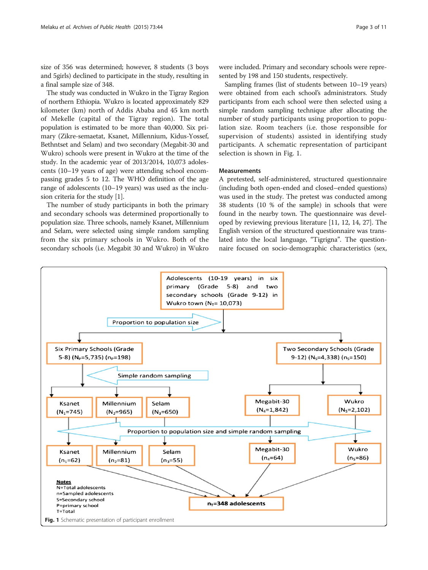size of 356 was determined; however, 8 students (3 boys and 5girls) declined to participate in the study, resulting in a final sample size of 348.

The study was conducted in Wukro in the Tigray Region of northern Ethiopia. Wukro is located approximately 829 kilometer (km) north of Addis Ababa and 45 km north of Mekelle (capital of the Tigray region). The total population is estimated to be more than 40,000. Six primary (Zikre-semaetat, Ksanet, Millennium, Kidus-Yossef, Bethntset and Selam) and two secondary (Megabit-30 and Wukro) schools were present in Wukro at the time of the study. In the academic year of 2013/2014, 10,073 adolescents (10–19 years of age) were attending school encompassing grades 5 to 12. The WHO definition of the age range of adolescents (10–19 years) was used as the inclusion criteria for the study [\[1\]](#page-9-0).

The number of study participants in both the primary and secondary schools was determined proportionally to population size. Three schools, namely Ksanet, Millennium and Selam, were selected using simple random sampling from the six primary schools in Wukro. Both of the secondary schools (i.e. Megabit 30 and Wukro) in Wukro

were included. Primary and secondary schools were represented by 198 and 150 students, respectively.

Sampling frames (list of students between 10–19 years) were obtained from each school's administrators. Study participants from each school were then selected using a simple random sampling technique after allocating the number of study participants using proportion to population size. Room teachers (i.e. those responsible for supervision of students) assisted in identifying study participants. A schematic representation of participant selection is shown in Fig. 1.

#### Measurements

A pretested, self-administered, structured questionnaire (including both open-ended and closed–ended questions) was used in the study. The pretest was conducted among 38 students (10 % of the sample) in schools that were found in the nearby town. The questionnaire was developed by reviewing previous literature [[11](#page-9-0), [12, 14, 27](#page-9-0)]. The English version of the structured questionnaire was translated into the local language, "Tigrigna". The questionnaire focused on socio-demographic characteristics (sex,

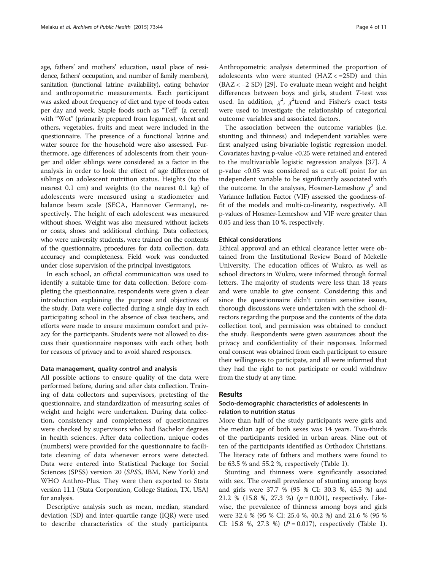age, fathers' and mothers' education, usual place of residence, fathers' occupation, and number of family members), sanitation (functional latrine availability), eating behavior and anthropometric measurements. Each participant was asked about frequency of diet and type of foods eaten per day and week. Staple foods such as "Teff" (a cereal) with "Wot" (primarily prepared from legumes), wheat and others, vegetables, fruits and meat were included in the questionnaire. The presence of a functional latrine and water source for the household were also assessed. Furthermore, age differences of adolescents from their younger and older siblings were considered as a factor in the analysis in order to look the effect of age difference of siblings on adolescent nutrition status. Heights (to the nearest 0.1 cm) and weights (to the nearest 0.1 kg) of adolescents were measured using a stadiometer and balance beam scale (SECA, Hannover Germany), respectively. The height of each adolescent was measured without shoes. Weight was also measured without jackets or coats, shoes and additional clothing. Data collectors, who were university students, were trained on the contents of the questionnaire, procedures for data collection, data accuracy and completeness. Field work was conducted under close supervision of the principal investigators.

In each school, an official communication was used to identify a suitable time for data collection. Before completing the questionnaire, respondents were given a clear introduction explaining the purpose and objectives of the study. Data were collected during a single day in each participating school in the absence of class teachers, and efforts were made to ensure maximum comfort and privacy for the participants. Students were not allowed to discuss their questionnaire responses with each other, both for reasons of privacy and to avoid shared responses.

#### Data management, quality control and analysis

All possible actions to ensure quality of the data were performed before, during and after data collection. Training of data collectors and supervisors, pretesting of the questionnaire, and standardization of measuring scales of weight and height were undertaken. During data collection, consistency and completeness of questionnaires were checked by supervisors who had Bachelor degrees in health sciences. After data collection, unique codes (numbers) were provided for the questionnaire to facilitate cleaning of data whenever errors were detected. Data were entered into Statistical Package for Social Sciences (SPSS) version 20 (SPSS, IBM, New York) and WHO Anthro-Plus. They were then exported to Stata version 11.1 (Stata Corporation, College Station, TX, USA) for analysis.

Descriptive analysis such as mean, median, standard deviation (SD) and inter-quartile range (IQR) were used to describe characteristics of the study participants.

Anthropometric analysis determined the proportion of adolescents who were stunted (HAZ < =2SD) and thin (BAZ < −2 SD) [\[29\]](#page-9-0). To evaluate mean weight and height differences between boys and girls, student T-test was used. In addition,  $\chi^2$ ,  $\chi^2$ trend and Fisher's exact tests were used to investigate the relationship of categorical outcome variables and associated factors.

The association between the outcome variables (i.e. stunting and thinness) and independent variables were first analyzed using bivariable logistic regression model. Covariates having p-value <0.25 were retained and entered to the multivariable logistic regression analysis [\[37](#page-9-0)]. A p-value <0.05 was considered as a cut-off point for an independent variable to be significantly associated with the outcome. In the analyses, Hosmer-Lemeshow  $\chi^2$  and Variance Inflation Factor (VIF) assessed the goodness-offit of the models and multi-co-linearity, respectively. All p-values of Hosmer-Lemeshow and VIF were greater than 0.05 and less than 10 %, respectively.

#### Ethical considerations

Ethical approval and an ethical clearance letter were obtained from the Institutional Review Board of Mekelle University. The education offices of Wukro, as well as school directors in Wukro, were informed through formal letters. The majority of students were less than 18 years and were unable to give consent. Considering this and since the questionnaire didn't contain sensitive issues, thorough discussions were undertaken with the school directors regarding the purpose and the contents of the data collection tool, and permission was obtained to conduct the study. Respondents were given assurances about the privacy and confidentiality of their responses. Informed oral consent was obtained from each participant to ensure their willingness to participate, and all were informed that they had the right to not participate or could withdraw from the study at any time.

#### Results

#### Socio-demographic characteristics of adolescents in relation to nutrition status

More than half of the study participants were girls and the median age of both sexes was 14 years. Two-thirds of the participants resided in urban areas. Nine out of ten of the participants identified as Orthodox Christians. The literacy rate of fathers and mothers were found to be 63.5 % and 55.2 %, respectively (Table [1](#page-4-0)).

Stunting and thinness were significantly associated with sex. The overall prevalence of stunting among boys and girls were 37.7 % (95 % CI: 30.3 %, 45.5 %) and 21.2 % (15.8 %, 27.3 %)  $(p = 0.001)$ , respectively. Likewise, the prevalence of thinness among boys and girls were 32.4 % (95 % CI: 25.4 %, 40.2 %) and 21.6 % (95 % CI: [1](#page-4-0)5.8 %, 27.3 %)  $(P = 0.017)$ , respectively (Table 1).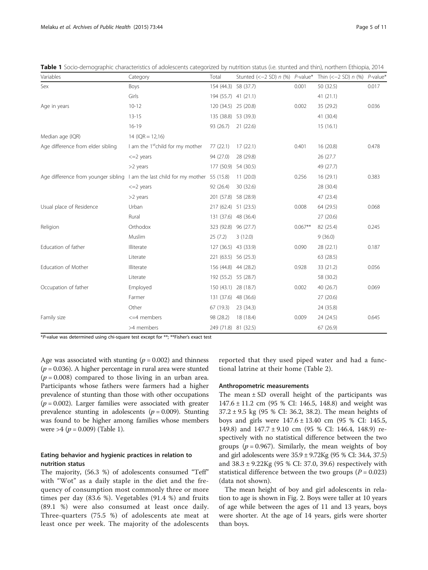| Variables                                                                        | Category                           | Total                         | Stunted (<-2 SD) $n$ (%) $P$ -value* Thin (<-2 SD) $n$ (%) $P$ -value* |           |           |       |  |
|----------------------------------------------------------------------------------|------------------------------------|-------------------------------|------------------------------------------------------------------------|-----------|-----------|-------|--|
| Sex                                                                              | Boys                               | 154 (44.3) 58 (37.7)          |                                                                        | 0.001     | 50 (32.5) | 0.017 |  |
|                                                                                  | Girls                              | 194 (55.7) 41 (21.1)          |                                                                        |           | 41(21.1)  |       |  |
| Age in years                                                                     | $10 - 12$                          | 120 (34.5) 25 (20.8)          |                                                                        | 0.002     | 35 (29.2) | 0.036 |  |
|                                                                                  | $13 - 15$                          | 135 (38.8) 53 (39.3)          |                                                                        |           | 41 (30.4) |       |  |
|                                                                                  | $16 - 19$                          | 93 (26.7)                     | 21(22.6)                                                               |           | 15(16.1)  |       |  |
| Median age (IQR)                                                                 | 14 ( $IQR = 12,16$ )               |                               |                                                                        |           |           |       |  |
| Age difference from elder sibling                                                | I am the $1st$ child for my mother | 77(22.1)                      | 17(22.1)                                                               | 0.401     | 16 (20.8) | 0.478 |  |
|                                                                                  | $\leq$ 2 years                     | 94 (27.0)                     | 28 (29.8)                                                              |           | 26 (27.7  |       |  |
|                                                                                  | >2 years                           | 177 (50.9) 54 (30.5)          |                                                                        |           |           |       |  |
| Age difference from younger sibling 1 am the last child for my mother $55(15.8)$ |                                    |                               | 11(20.0)                                                               | 0.256     | 16(29.1)  | 0.383 |  |
|                                                                                  | $\leq$ 2 years                     | 92 (26.4)                     | 30 (32.6)                                                              |           | 28 (30.4) |       |  |
|                                                                                  | >2 years                           | 201 (57.8) 58 (28.9)          |                                                                        |           | 47 (23.4) |       |  |
| Usual place of Residence                                                         | Urban                              | 217 (62.4) 51 (23.5)          |                                                                        | 0.008     | 64 (29.5) | 0.068 |  |
|                                                                                  | Rural                              | 131 (37.6) 48 (36.4)          |                                                                        |           | 27 (20.6) |       |  |
| Religion                                                                         | Orthodox                           | 323 (92.8) 96 (27.7)          |                                                                        | $0.067**$ | 82 (25.4) | 0.245 |  |
|                                                                                  | Muslim                             | 25(7.2)<br>3(12.0)<br>9(36.0) |                                                                        |           |           |       |  |
| Education of father                                                              | Illiterate                         | 127 (36.5) 43 (33.9)          |                                                                        | 0.090     | 28 (22.1) | 0.187 |  |
|                                                                                  | Literate                           | 221 (63.5) 56 (25.3)          |                                                                        |           | 63 (28.5) |       |  |
| Education of Mother                                                              | Illiterate                         | 156 (44.8) 44 (28.2)          |                                                                        | 0.928     | 33 (21.2) | 0.056 |  |
|                                                                                  | Literate                           | 192 (55.2) 55 (28.7)          |                                                                        |           | 58 (30.2) |       |  |
| Occupation of father                                                             | Employed                           | 150 (43.1) 28 (18.7)          |                                                                        | 0.002     | 40 (26.7) | 0.069 |  |
|                                                                                  | Farmer                             | 131 (37.6) 48 (36.6)          |                                                                        |           | 27(20.6)  |       |  |
|                                                                                  | Other                              | 67 (19.3)                     | 23 (34.3)                                                              |           | 24 (35.8) |       |  |
| Family size                                                                      | <= 4 members                       | 98 (28.2)                     | 18 (18.4)                                                              | 0.009     | 24 (24.5) | 0.645 |  |
|                                                                                  | >4 members                         | 249 (71.8) 81 (32.5)          |                                                                        |           | 67 (26.9) |       |  |

<span id="page-4-0"></span>Table 1 Socio-demographic characteristics of adolescents categorized by nutrition status (i.e. stunted and thin), northern Ethiopia, 2014

\*P-value was determined using chi-square test except for \*\*; \*\*Fisher's exact test

Age was associated with stunting ( $p = 0.002$ ) and thinness  $(p = 0.036)$ . A higher percentage in rural area were stunted  $(p = 0.008)$  compared to those living in an urban area. Participants whose fathers were farmers had a higher prevalence of stunting than those with other occupations  $(p = 0.002)$ . Larger families were associated with greater prevalence stunting in adolescents ( $p = 0.009$ ). Stunting was found to be higher among families whose members were >4 ( $p = 0.009$ ) (Table 1).

#### Eating behavior and hygienic practices in relation to nutrition status

The majority, (56.3 %) of adolescents consumed "Teff" with "Wot" as a daily staple in the diet and the frequency of consumption most commonly three or more times per day (83.6 %). Vegetables (91.4 %) and fruits (89.1 %) were also consumed at least once daily. Three-quarters (75.5 %) of adolescents ate meat at least once per week. The majority of the adolescents reported that they used piped water and had a functional latrine at their home (Table [2\)](#page-5-0).

#### Anthropometric measurements

The mean  $\pm$  SD overall height of the participants was 147.6 ± 11.2 cm (95 % CI: 146.5, 148.8) and weight was 37.2 ± 9.5 kg (95 % CI: 36.2, 38.2). The mean heights of boys and girls were 147.6 ± 13.40 cm (95 % CI: 145.5, 149.8) and 147.7 ± 9.10 cm (95 % CI: 146.4, 148.9) respectively with no statistical difference between the two groups ( $p = 0.967$ ). Similarly, the mean weights of boy and girl adolescents were 35.9 ± 9.72Kg (95 % CI: 34.4, 37.5) and 38.3 ± 9.22Kg (95 % CI: 37.0, 39.6) respectively with statistical difference between the two groups ( $P = 0.023$ ) (data not shown).

The mean height of boy and girl adolescents in relation to age is shown in Fig. [2](#page-5-0). Boys were taller at 10 years of age while between the ages of 11 and 13 years, boys were shorter. At the age of 14 years, girls were shorter than boys.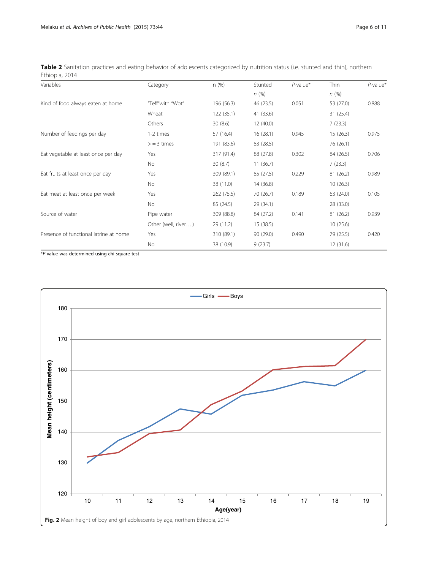<span id="page-5-0"></span>

|                |  |  |  | Table 2 Sanitation practices and eating behavior of adolescents categorized by nutrition status (i.e. stunted and thin), northern |  |  |  |  |
|----------------|--|--|--|-----------------------------------------------------------------------------------------------------------------------------------|--|--|--|--|
| Ethiopia, 2014 |  |  |  |                                                                                                                                   |  |  |  |  |

| Variables                              | Category            | n(%)       | Stunted   | $P$ -value* | <b>Thin</b> | $P$ -value* |
|----------------------------------------|---------------------|------------|-----------|-------------|-------------|-------------|
|                                        |                     |            | n(%)      |             | n(%)        |             |
| Kind of food always eaten at home      | "Teff"with "Wot"    | 196 (56.3) | 46 (23.5) | 0.051       | 53 (27.0)   | 0.888       |
|                                        | Wheat               | 122 (35.1) | 41 (33.6) |             | 31 (25.4)   |             |
|                                        | Others              | 30(8.6)    | 12(40.0)  |             | 7(23.3)     |             |
| Number of feedings per day             | 1-2 times           | 57 (16.4)  | 16(28.1)  | 0.945       | 15(26.3)    | 0.975       |
|                                        | $>$ = 3 times       | 191 (83.6) | 83 (28.5) |             | 76 (26.1)   |             |
| Eat vegetable at least once per day    | Yes                 | 317 (91.4) | 88 (27.8) | 0.302       | 84 (26.5)   | 0.706       |
|                                        | No                  | 30(8.7)    | 11(36.7)  |             | 7(23.3)     |             |
| Eat fruits at least once per day       | Yes                 | 309 (89.1) | 85 (27.5) | 0.229       | 81 (26.2)   | 0.989       |
|                                        | No                  | 38 (11.0)  | 14 (36.8) |             | 10(26.3)    |             |
| Eat meat at least once per week        | Yes                 | 262 (75.5) | 70 (26.7) | 0.189       | 63 (24.0)   | 0.105       |
|                                        | No                  | 85 (24.5)  | 29 (34.1) |             | 28 (33.0)   |             |
| Source of water                        | Pipe water          | 309 (88.8) | 84 (27.2) | 0.141       | 81 (26.2)   | 0.939       |
|                                        | Other (well, river) | 29 (11.2)  | 15(38.5)  |             | 10(25.6)    |             |
| Presence of functional latrine at home | Yes                 | 310 (89.1) | 90 (29.0) | 0.490       | 79 (25.5)   | 0.420       |
|                                        | No                  | 38 (10.9)  | 9(23.7)   |             | 12 (31.6)   |             |

\*P-value was determined using chi-square test

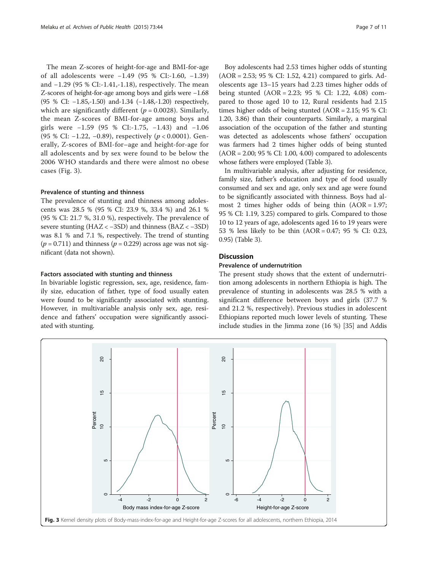The mean Z-scores of height-for-age and BMI-for-age of all adolescents were −1.49 (95 % CI:-1.60, −1.39) and −1.29 (95 % CI:-1.41,-1.18), respectively. The mean Z-scores of height-for-age among boys and girls were −1.68 (95 % CI: −1.85,-1.50) and-1.34 (−1.48,-1.20) respectively, which are significantly different ( $p = 0.0028$ ). Similarly, the mean Z-scores of BMI-for-age among boys and girls were −1.59 (95 % CI:-1.75, −1.43) and −1.06 (95 % CI: −1.22, −0.89), respectively (p < 0.0001). Generally, Z-scores of BMI-for–age and height-for-age for all adolescents and by sex were found to be below the 2006 WHO standards and there were almost no obese cases (Fig. 3).

#### Prevalence of stunting and thinness

The prevalence of stunting and thinness among adolescents was 28.5 % (95 % CI: 23.9 %, 33.4 %) and 26.1 % (95 % CI: 21.7 %, 31.0 %), respectively. The prevalence of severe stunting (HAZ < −3SD) and thinness (BAZ < −3SD) was 8.1 % and 7.1 %, respectively. The trend of stunting  $(p = 0.711)$  and thinness  $(p = 0.229)$  across age was not significant (data not shown).

#### Factors associated with stunting and thinness

In bivariable logistic regression, sex, age, residence, family size, education of father, type of food usually eaten were found to be significantly associated with stunting. However, in multivariable analysis only sex, age, residence and fathers' occupation were significantly associated with stunting.

Boy adolescents had 2.53 times higher odds of stunting (AOR = 2.53; 95 % CI: 1.52, 4.21) compared to girls. Adolescents age 13–15 years had 2.23 times higher odds of being stunted (AOR = 2.23; 95 % CI: 1.22, 4.08) compared to those aged 10 to 12, Rural residents had 2.15 times higher odds of being stunted (AOR = 2.15; 95 % CI: 1.20, 3.86) than their counterparts. Similarly, a marginal association of the occupation of the father and stunting was detected as adolescents whose fathers' occupation was farmers had 2 times higher odds of being stunted (AOR = 2.00; 95 % CI: 1.00, 4.00) compared to adolescents whose fathers were employed (Table [3](#page-7-0)).

In multivariable analysis, after adjusting for residence, family size, father's education and type of food usually consumed and sex and age, only sex and age were found to be significantly associated with thinness. Boys had almost 2 times higher odds of being thin (AOR = 1.97; 95 % CI: 1.19, 3.25) compared to girls. Compared to those 10 to 12 years of age, adolescents aged 16 to 19 years were 53 % less likely to be thin (AOR = 0.47; 95 % CI: 0.23, 0.95) (Table [3](#page-7-0)).

#### **Discussion**

#### Prevalence of undernutrition

The present study shows that the extent of undernutrition among adolescents in northern Ethiopia is high. The prevalence of stunting in adolescents was 28.5 % with a significant difference between boys and girls (37.7 % and 21.2 %, respectively). Previous studies in adolescent Ethiopians reported much lower levels of stunting. These include studies in the Jimma zone (16 %) [[35](#page-9-0)] and Addis

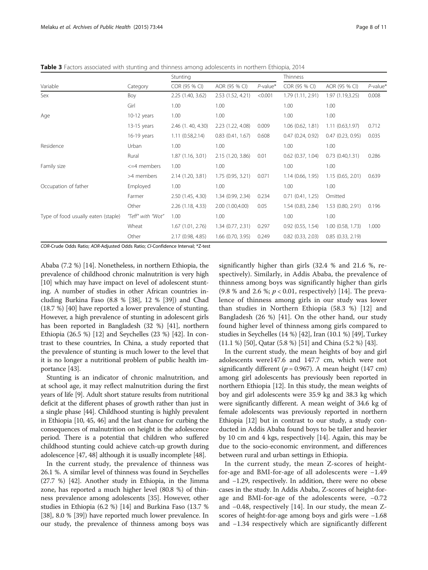<span id="page-7-0"></span>Table 3 Factors associated with stunting and thinness among adolescents in northern Ethiopia, 2014

|                                     |                   | Stunting           |                     |                              | Thinness              |                   |             |  |  |
|-------------------------------------|-------------------|--------------------|---------------------|------------------------------|-----------------------|-------------------|-------------|--|--|
| Variable                            | Category          | COR (95 % CI)      | AOR (95 % CI)       | $P$ -value*                  | COR (95 % CI)         | AOR (95 % CI)     | $P$ -value* |  |  |
| Sex                                 | Boy               | 2.25 (1.40, 3.62)  | 2.53(1.52, 4.21)    | < 0.001<br>1.79 (1.11, 2.91) |                       | 1.97 (1.19,3.25)  | 0.008       |  |  |
|                                     | Girl              | 1.00               | 1.00                |                              | 1.00                  | 1.00              |             |  |  |
| Age                                 | $10-12$ years     | 1.00               | 1.00                |                              | 1.00                  | 1.00              |             |  |  |
|                                     | $13-15$ years     | 2.46 (1, 40, 4.30) | 2.23 (1.22, 4.08)   | 0.009                        | 1.06(0.62, 1.81)      | 1.11 (0.63,1.97)  | 0.712       |  |  |
|                                     | 16-19 years       | 1.11(0.58, 2.14)   | 0.83(0.41, 1.67)    | 0.608                        | 0.47(0.24, 0.92)      | 0.47(0.23, 0.95)  | 0.035       |  |  |
| Residence                           | Urban             | 1.00               | 1.00                |                              | 1.00                  | 1.00              |             |  |  |
|                                     | Rural             | 1.87(1.16, 3.01)   | 2.15 (1.20, 3.86)   | 0.01                         | $0.62$ $(0.37, 1.04)$ | 0.73(0.40, 1.31)  | 0.286       |  |  |
| Family size                         | $\leq$ 4 members  | 1.00               | 1.00                |                              | 1.00                  | 1.00              |             |  |  |
|                                     | >4 members        | 2.14 (1.20, 3.81)  | 1.75(0.95, 3.21)    | 0.071                        | 1.14(0.66, 1.95)      | 1.15(0.65, 2.01)  | 0.639       |  |  |
| Occupation of father                | Employed          | 1.00               | 1.00                |                              | 1.00                  | 1.00              |             |  |  |
|                                     | Farmer            | 2.50 (1.45, 4.30)  | 1.34 (0.99, 2.34)   | 0.234                        | 0.71(0.41, 1.25)      | Omitted           |             |  |  |
|                                     | Other             | 2.26 (1.18, 4.33)  | 2.00 (1.00,4.00)    | 0.05                         | 1.54 (0.83, 2.84)     | 1.53 (0.80, 2.91) | 0.196       |  |  |
| Type of food usually eaten (staple) | "Teff" with "Wot" | 1.00               | 1.00                |                              | 1.00                  | 1.00              |             |  |  |
|                                     | Wheat             | 1.67(1.01, 2.76)   | 1.34(0.77, 2.31)    | 0.297                        | 0.92(0.55, 1.54)      | 1.00 (0.58, 1.73) | 1.000       |  |  |
|                                     | Other             | 2.17 (0.98, 4.85)  | $1.66$ (0.70, 3.95) | 0.249                        | $0.82$ $(0.33, 2.03)$ | 0.85(0.33, 2.19)  |             |  |  |

COR-Crude Odds Ratio; AOR-Adjusted Odds Ratio; CI-Confidence Interval; \*Z-test

Ababa (7.2 %) [[14](#page-9-0)]. Nonetheless, in northern Ethiopia, the prevalence of childhood chronic malnutrition is very high [[10](#page-9-0)] which may have impact on level of adolescent stunting. A number of studies in other African countries including Burkina Faso (8.8 % [\[38\]](#page-9-0), 12 % [[39](#page-9-0)]) and Chad (18.7 %) [[40](#page-9-0)] have reported a lower prevalence of stunting. However, a high prevalence of stunting in adolescent girls has been reported in Bangladesh (32 %) [\[41](#page-10-0)], northern Ethiopia (26.5 %) [\[12\]](#page-9-0) and Seychelles (23 %) [\[42](#page-10-0)]. In contrast to these countries, In China, a study reported that the prevalence of stunting is much lower to the level that it is no longer a nutritional problem of public health importance [[43](#page-10-0)].

Stunting is an indicator of chronic malnutrition, and at school age, it may reflect malnutrition during the first years of life [\[9](#page-9-0)]. Adult short stature results from nutritional deficit at the different phases of growth rather than just in a single phase [\[44](#page-10-0)]. Childhood stunting is highly prevalent in Ethiopia [\[10,](#page-9-0) [45](#page-10-0), [46\]](#page-10-0) and the last chance for curbing the consequences of malnutrition on height is the adolescence period. There is a potential that children who suffered childhood stunting could achieve catch-up growth during adolescence [\[47, 48\]](#page-10-0) although it is usually incomplete [\[48\]](#page-10-0).

In the current study, the prevalence of thinness was 26.1 %. A similar level of thinness was found in Seychelles (27.7 %) [[42](#page-10-0)]. Another study in Ethiopia, in the Jimma zone, has reported a much higher level (80.8 %) of thinness prevalence among adolescents [[35\]](#page-9-0). However, other studies in Ethiopia (6.2 %) [\[14\]](#page-9-0) and Burkina Faso (13.7 % [[38](#page-9-0)], 8.0 % [\[39](#page-9-0)]) have reported much lower prevalence. In our study, the prevalence of thinness among boys was significantly higher than girls (32.4 % and 21.6 %, respectively). Similarly, in Addis Ababa, the prevalence of thinness among boys was significantly higher than girls (9.8 % and 2.6 %;  $p < 0.01$ , respectively) [\[14](#page-9-0)]. The prevalence of thinness among girls in our study was lower than studies in Northern Ethiopia (58.3 %) [[12\]](#page-9-0) and Bangladesh (26 %) [[41\]](#page-10-0). On the other hand, our study found higher level of thinness among girls compared to studies in Seychelles (14 %) [[42\]](#page-10-0), Iran (10.1 %) [\[49\]](#page-10-0), Turkey (11.1 %) [[50](#page-10-0)], Qatar (5.8 %) [\[51](#page-10-0)] and China (5.2 %) [[43](#page-10-0)].

In the current study, the mean heights of boy and girl adolescents were147.6 and 147.7 cm, which were not significantly different ( $p = 0.967$ ). A mean height (147 cm) among girl adolescents has previously been reported in northern Ethiopia [[12](#page-9-0)]. In this study, the mean weights of boy and girl adolescents were 35.9 kg and 38.3 kg which were significantly different. A mean weight of 34.6 kg of female adolescents was previously reported in northern Ethiopia [\[12\]](#page-9-0) but in contrast to our study, a study conducted in Addis Ababa found boys to be taller and heavier by 10 cm and 4 kgs, respectively [\[14\]](#page-9-0). Again, this may be due to the socio-economic environment, and differences between rural and urban settings in Ethiopia.

In the current study, the mean Z-scores of heightfor-age and BMI-for-age of all adolescents were −1.49 and −1.29, respectively. In addition, there were no obese cases in the study. In Addis Ababa, Z-scores of height-forage and BMI-for-age of the adolescents were, −0.72 and −0.48, respectively [\[14\]](#page-9-0). In our study, the mean Zscores of height-for-age among boys and girls were −1.68 and −1.34 respectively which are significantly different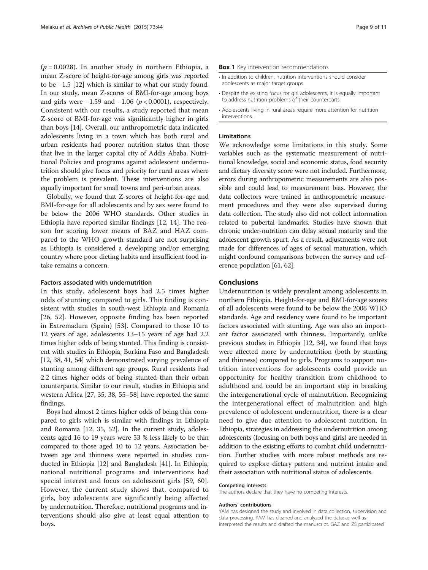$(p = 0.0028)$ . In another study in northern Ethiopia, a mean Z-score of height-for-age among girls was reported to be −1.5 [[12](#page-9-0)] which is similar to what our study found. In our study, mean Z-scores of BMI-for-age among boys and girls were  $-1.59$  and  $-1.06$  ( $p < 0.0001$ ), respectively. Consistent with our results, a study reported that mean Z-score of BMI-for-age was significantly higher in girls than boys [\[14\]](#page-9-0). Overall, our anthropometric data indicated adolescents living in a town which has both rural and urban residents had poorer nutrition status than those that live in the larger capital city of Addis Ababa. Nutritional Policies and programs against adolescent undernutrition should give focus and priority for rural areas where the problem is prevalent. These interventions are also equally important for small towns and peri-urban areas.

Globally, we found that Z-scores of height-for-age and BMI-for-age for all adolescents and by sex were found to be below the 2006 WHO standards. Other studies in Ethiopia have reported similar findings [\[12](#page-9-0), [14](#page-9-0)]. The reason for scoring lower means of BAZ and HAZ compared to the WHO growth standard are not surprising as Ethiopia is considered a developing and/or emerging country where poor dieting habits and insufficient food intake remains a concern.

#### Factors associated with undernutrition

In this study, adolescent boys had 2.5 times higher odds of stunting compared to girls. This finding is consistent with studies in south-west Ethiopia and Romania [[26,](#page-9-0) [52\]](#page-10-0). However, opposite finding has been reported in Extremadura (Spain) [[53](#page-10-0)]. Compared to those 10 to 12 years of age, adolescents 13–15 years of age had 2.2 times higher odds of being stunted. This finding is consistent with studies in Ethiopia, Burkina Faso and Bangladesh [[12](#page-9-0), [38](#page-9-0), [41, 54\]](#page-10-0) which demonstrated varying prevalence of stunting among different age groups. Rural residents had 2.2 times higher odds of being stunted than their urban counterparts. Similar to our result, studies in Ethiopia and western Africa [\[27, 35](#page-9-0), [38](#page-9-0), [55](#page-10-0)–[58](#page-10-0)] have reported the same findings.

Boys had almost 2 times higher odds of being thin compared to girls which is similar with findings in Ethiopia and Romania [[12](#page-9-0), [35,](#page-9-0) [52\]](#page-10-0). In the current study, adolescents aged 16 to 19 years were 53 % less likely to be thin compared to those aged 10 to 12 years. Association between age and thinness were reported in studies conducted in Ethiopia [\[12](#page-9-0)] and Bangladesh [[41](#page-10-0)]. In Ethiopia, national nutritional programs and interventions had special interest and focus on adolescent girls [[59, 60](#page-10-0)]. However, the current study shows that, compared to girls, boy adolescents are significantly being affected by undernutrition. Therefore, nutritional programs and interventions should also give at least equal attention to boys.

#### **Box 1** Key intervention recommendations

- In addition to children, nutrition interventions should consider adolescents as major target groups.
- Despite the existing focus for girl adolescents, it is equally important to address nutrition problems of their counterparts.
- Adolescents living in rural areas require more attention for nutrition interventions.

#### Limitations

We acknowledge some limitations in this study. Some variables such as the systematic measurement of nutritional knowledge, social and economic status, food security and dietary diversity score were not included. Furthermore, errors during anthropometric measurements are also possible and could lead to measurement bias. However, the data collectors were trained in anthropometric measurement procedures and they were also supervised during data collection. The study also did not collect information related to pubertal landmarks. Studies have shown that chronic under-nutrition can delay sexual maturity and the adolescent growth spurt. As a result, adjustments were not made for differences of ages of sexual maturation, which might confound comparisons between the survey and reference population [\[61, 62](#page-10-0)].

#### Conclusions

Undernutrition is widely prevalent among adolescents in northern Ethiopia. Height-for-age and BMI-for-age scores of all adolescents were found to be below the 2006 WHO standards. Age and residency were found to be important factors associated with stunting. Age was also an important factor associated with thinness. Importantly, unlike previous studies in Ethiopia [\[12, 34](#page-9-0)], we found that boys were affected more by undernutrition (both by stunting and thinness) compared to girls. Programs to support nutrition interventions for adolescents could provide an opportunity for healthy transition from childhood to adulthood and could be an important step in breaking the intergenerational cycle of malnutrition. Recognizing the intergenerational effect of malnutrition and high prevalence of adolescent undernutrition, there is a clear need to give due attention to adolescent nutrition. In Ethiopia, strategies in addressing the undernutrition among adolescents (focusing on both boys and girls) are needed in addition to the existing efforts to combat child undernutrition. Further studies with more robust methods are required to explore dietary pattern and nutrient intake and their association with nutritional status of adolescents.

#### Competing interests

The authors declare that they have no competing interests.

#### Authors' contributions

YAM has designed the study and involved in data collection, supervision and data processing. YAM has cleaned and analyzed the data; as well as interpreted the results and drafted the manuscript. GAZ and ZS participated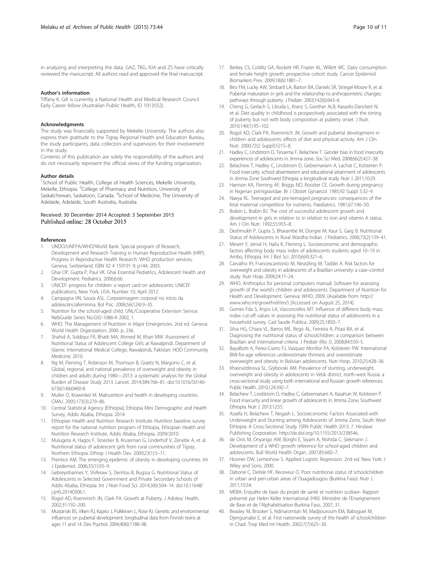<span id="page-9-0"></span>in analyzing and interpreting the data. GAZ, TKG, RJA and ZS have critically reviewed the manuscript. All authors read and approved the final manuscript.

#### Author's information

Tiffany K. Gill is currently a National Health and Medical Research Council Early Career fellow (Australian Public Health, ID 1013552).

#### **Acknowledaments**

The study was financially supported by Mekelle University. The authors also express their gratitude to the Tigray Regional Health and Education Bureau, the study participants, data collectors and supervisors for their involvement in the study.

Contents of this publication are solely the responsibility of the authors and do not necessarily represent the official views of the funding organization.

#### Author details

<sup>1</sup>School of Public Health, College of Health Sciences, Mekelle University, Mekelle, Ethiopia. <sup>2</sup>College of Pharmacy and Nutrition, University of Saskatchewan, Saskatoon, Canada. <sup>3</sup>School of Medicine, The University of Adelaide, Adelaide, South Australia, Australia.

#### Received: 30 December 2014 Accepted: 3 September 2015 Published online: 28 October 2015

#### References

- 1. UNDO/UNFPA/WHO/World Bank. Special program of Research, Development and Research Training in Human Reproductive Health (HRP), Progress in Reproductive Health Research. WHO production services, Geneva, Switzerland. ISBN 92 4 159191 9; p144; 2003.
- 2. Ghai OP, Gupta P, Paul VK. Ghai Essential Pediatrics, Adolescent Health and Development. Pediatrics. 2006;6:66.
- 3. UNICEF: progress for children: a report card on adolescents: UNICEF publications, New York, USA; Number 10, April 2012.
- 4. Campagna VN, Souza ASL. Corpoeimagem corporal no início da adolescênciafeminina. Bol Psic. 2006;56(124):9–35.
- 5. Nutrition for the school-aged child. UNL/Cooperative Extension Service. NebGuide Series No.G92-1086-A 2002, 1.
- 6. WHO. The Management of Nutrition in Major Emergencies. 2nd ed. Geneva: World Health Organization; 2000. p. 236.
- 7. Shahid A, Siddiqui FR, Bhatti MA, Ahmed M, Khan MW. Assessment of Nutritional Status of Adolescent College Girls at Rawalpindi. Department of Islamic International Medical College, Rawalpindi, Pakistan: HOD Community Medicine; 2010.
- Ng M, Fleming T, Robinson M, Thomson B, Graetz N, Margono C, et al. Global, regional, and national prevalence of overweight and obesity in children and adults during 1980—2013: a systematic analysis for the Global Burden of Disease Study 2013. Lancet. 2014;384:766–81. doi[:10.1016/S0140-](http://dx.doi.org/10.1016/S0140-6736(14)60460-8) [6736\(14\)60460-8](http://dx.doi.org/10.1016/S0140-6736(14)60460-8).
- 9. Muller O, Krawinkel M. Malnutrition and health in developing countries. CMAJ. 2005;173(3):279–86.
- 10. Central Statistical Agency [Ethiopia]. Ethiopia Mini Demographic and Health Survey, Addis Ababa, Ethiopia. 2014.
- 11. Ethiopian Health and Nutrition Research Institute: Nutrition baseline survey report for the national nutrition program of Ethiopia, Ethiopian Health and Nutrition Research Institute, Addis Ababa, Ethiopia, 2009/2010.
- 12. Mulugeta A, Hagos F, Stoecker B, Kruseman G, Linderhof V, Zenebe A, et al. Nutritional status of adolescent girls from rural communities of Tigray, Northern Ethiopia. Ethiop J Health Dev. 2009;23(1):5–11.
- 13. Prentice AM. The emerging epidemic of obesity in developing countries. Int J Epidemiol. 2006;35(1):93–9.
- 14. Gebreyohannes Y, Shiferaw S, Demtsu B, Bugssa G. Nutritional Status of Adolescents in Selected Government and Private Secondary Schools of Addis Ababa, Ethiopia. Int J Nutr Food Sci. 2014;3(6):504–14. doi[:10.11648/](http://dx.doi.org/10.11648/j.ijnfs.20140306.1) [j.ijnfs.20140306.1.](http://dx.doi.org/10.11648/j.ijnfs.20140306.1)
- 15. Rogol AD, Roemmich JN, Clark PA. Growth at Puberty. J Adolesc Health. 2002;31:192–200.
- 16. Mustanski BS, Viken RJ, Kaprio J, Pulkkinen L, Rose RJ. Genetic and environmental influences on pubertal development: longitudinal data from Finnish twins at ages 11 and 14. Dev Psychol. 2004;40(6):1188–98.
- 17. Berkey CS, Colditz GA, Rockett HR, Frazier AL, Willett WC. Dairy consumption and female height growth: prospective cohort study. Cancer Epidemiol Biomarkers Prev. 2009;18(6):1881–7.
- 18. Biro FM, Lucky AW, Simbartl LA, Barton BA, Daniels SR, Striegel-Moore R, et al. Pubertal maturation in girls and the relationship to anthropometric changes: pathways through puberty. J Pediatr. 2003;142(6):643–6.
- 19. Cheng G, Gerlach S, Libuda L, Kranz S, Günther ALB, Karaolis-Danckert N, et al. Diet quality in childhood is prospectively associated with the timing of puberty but not with body composition at puberty onset. J Nutr. 2010;140(1):95–102.
- 20. Rogol AD, Clark PA, Roemmich JN. Growth and pubertal development in children and adolescents: effects of diet and physical activity. Am J Clin Nutr. 2000;72(2 Suppl):521S–8.
- 21. Hadley C, Lindstrom D, Tessema F, Belachew T. Gender bias in food insecurity experiences of adolescents in Jimma zone. Soc Sci Med. 2008;66(2):427–38.
- 22. Belachew T, Hadley C, Lindstrom D, Gebremariam A, Lachat C, Kolsteren P. Food insecurity, school absenteeism and educational attainment of adolescents in Jimma Zone Southwest Ethiopia: a longitudinal study. Nutr J. 2011;10:29.
- 23. Harrison KA, Fleming AF, Briggs ND, Rossiter CE. Growth during pregnancy in Nigerian primigravidae. Br J Obstet Gynaecol. 1985;92 Suppl 5:32–9.
- 24. Naeya RL. Teenaged and pre-teenaged pregnancies: consequences of the fetal maternal competition for nutrients. Paediatrics. 1981;67:146–50.
- 25. Brabin L, Brabin BJ. The cost of successful adolescent growth and development in girls in relation to in relation to iron and vitamin A status. Am J Clin Nutr. 1992;55:955–8.
- 26. Deshmukh P, Gupta S, Bharambe M, Dongre M, Kaur S, Garg B. Nutritional Status of Adolescents in Rural Wardha Indian. J Pediatrics. 2006;73(2):139–41.
- 27. Mesert Y, Jemal H, Hailu K, Fleming L. Socioeconomic and demographic factors affecting body mass index of adolescents students aged 10–19 in Ambo, Ethiopia. Int J Biol Sci. 2010;6(4):321–6.
- 28. Carvalho IH, Francescantonio M, Neutzling M, Taddei A. Risk factors for overweight and obesity in adolescents of a Brazilian university: a case–control study. Nutr Hosp. 2009;24:17–24.
- 29. WHO. Anthroplus for personal computers manual: Software for assessing growth of the world's children and adolescents. Department of Nutrition for Health and Development. Geneva: WHO; 2009. (Available from: [http://](http://www.who.int/growthref/en/) [www.who.int/growthref/en/](http://www.who.int/growthref/en/)) [Accessed on August 25, 2014].
- 30. Gomes Fda S, Anjos LA, Vasconcellos MT. Influence of different body mass index cut-off values in assessing the nutritional status of adolescents in a household survey. Cad Saude Publica. 2009;25:1850–7.
- 31. Silva HG, Chiara VL, Barros ME, Rego AL, Ferreira A, Pitasi BA, et al. Diagnosing the nutritional status of schoolchildren: a comparison between Brazilian and international criteria. J Pediatr (Rio J). 2008;84:550–5.
- 32. BayaBotti A, Perez-Cueto FJ, Vasquez Monllor PA, Kolsteren PW. International BMI-for-age references underestimate thinness and overestimate overweight and obesity in Bolivian adolescents. Nutr Hosp. 2010;25:428–36.
- 33. Khasnutdinova SL, Grjibovski AM. Prevalence of stunting, underweight, overweight and obesity in adolescents in Velsk district, north-west Russia: a cross-sectional study using both international and Russian growth references. Public Health. 2010;124:392–7.
- 34. Belachew T, Lindstrom D, Hadley C, Gebremariam A, Kasahun W, Kolsteren P. Food insecurity and linear growth of adolescents in Jimma Zone, Southwest Ethiopia. Nutr J. 2013;12:55.
- 35. Assefa H, Belachew T, Negash L. Socioeconomic Factors Associated with Underweight and Stunting among Adolescents of Jimma Zone, South West Ethiopia: A Cross-Sectional Study. ISRN Public Health 2013: 7. Hindawi Publishing Corporation. http://dx.doi.org/10.1155/2013/238546.
- 36. de Onis M, Onyango AW, Borghi E, Siyam A, Nishida C, Siekmann J. Development of a WHO growth reference for school-aged children and adolescents. Bull World Health Organ. 2007;85:660–7.
- 37. Hosmer DW, Lemeshow S. Applied Logistic Regression. 2nd ed. New York: J Wiley and Sons; 2000.
- 38. Daboné C, Delisle HF, Receveur O. Poor nutritional status of schoolchildren in urban and peri-urban areas of Ouagadougou (Burkina Faso). Nutr J. 2011;10:34.
- 39. MEBA: Enquête de base du projet de santé et nutrition scoliare- Rapport présenté par Helen Keller International (HKI). Ministère de l'Enseignement de Base et de l'Alphabétisation-Burkina Faso, 2007, 31.
- 40. Beasley M, Brooker S, Ndinaromtan M, Madjiouroum EM, Baboguel M, Djenguinabe E, et al. First nationwide survey of the health of schoolchildren in Chad. Trop Med Int Health. 2002;7(7):625–30.